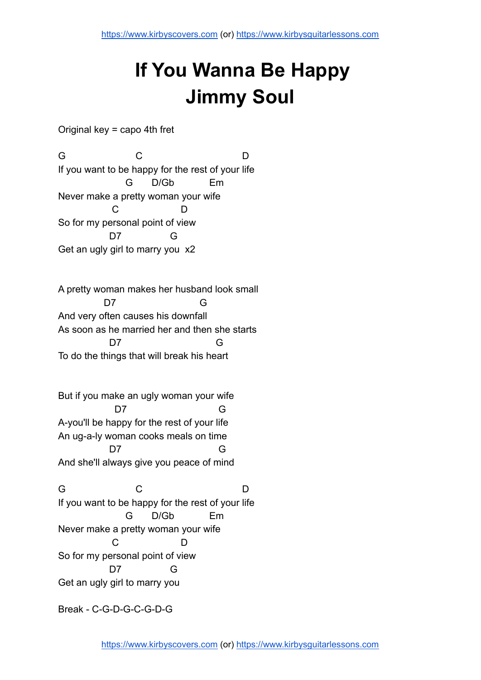## **If You Wanna Be Happy Jimmy Soul**

Original key = capo 4th fret

G C D If you want to be happy for the rest of your life G D/Gb Em Never make a pretty woman your wife C D So for my personal point of view D7 G Get an ugly girl to marry you x2

A pretty woman makes her husband look small D7 G And very often causes his downfall As soon as he married her and then she starts D7 G To do the things that will break his heart

But if you make an ugly woman your wife D7 G A-you'll be happy for the rest of your life An ug-a-ly woman cooks meals on time D7 G And she'll always give you peace of mind

G C D If you want to be happy for the rest of your life G D/Gb Em Never make a pretty woman your wife C D So for my personal point of view D7 G Get an ugly girl to marry you

Break - C-G-D-G-C-G-D-G